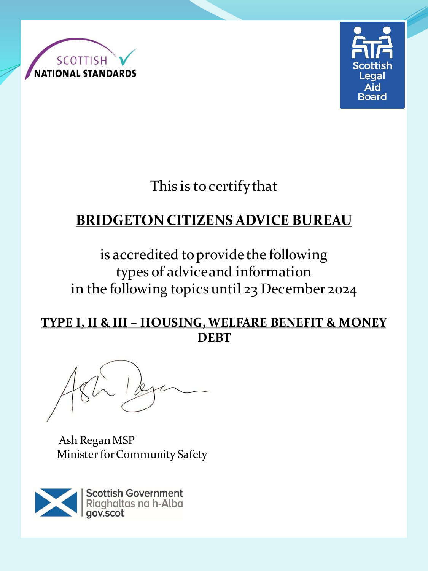



This is to certify that

# **BRIDGETON CITIZENS ADVICE BUREAU**

is accredited to provide the following types of advice and information in the following topics until 23 December 2024

#### **TYPE I, II & III – HOUSING, WELFARE BENEFIT & MONEY DEBT**

Ash Regan MSP Minister for Community Safety

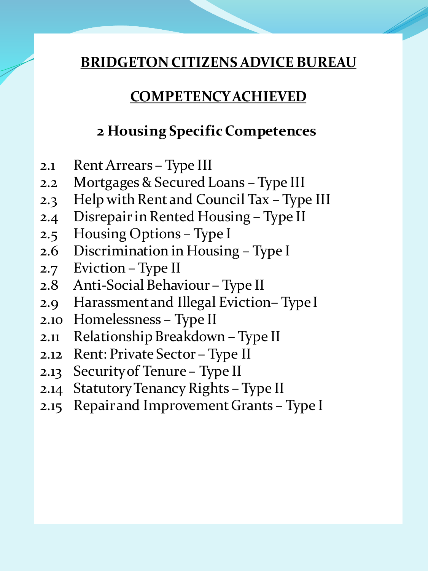#### **COMPETENCY ACHIEVED**

### **2 Housing Specific Competences**

- 2.1 Rent Arrears Type III
- 2.2 Mortgages & Secured Loans Type III
- 2.3 Help with Rent and Council Tax Type III
- 2.4 Disrepair in Rented Housing Type II
- 2.5 Housing Options Type I
- 2.6 Discrimination in Housing Type I
- 2.7 Eviction Type II
- 2.8 Anti-Social Behaviour Type II
- 2.9 Harassment and Illegal Eviction– Type I
- 2.10 Homelessness Type II
- 2.11 Relationship Breakdown Type II
- 2.12 Rent: Private Sector Type II
- 2.13 Security of Tenure Type II
- 2.14 Statutory Tenancy Rights Type II
- 2.15 Repair and Improvement Grants Type I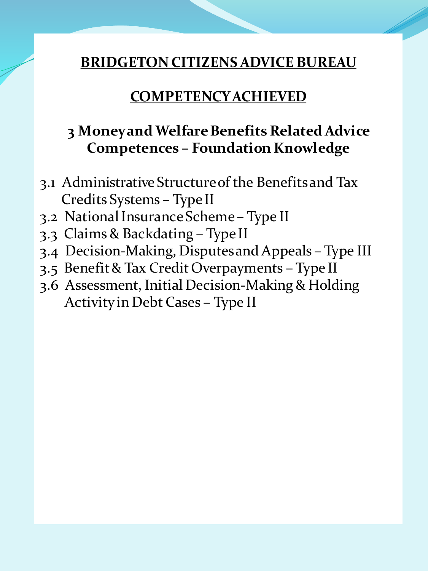### **COMPETENCY ACHIEVED**

# **3 Money and Welfare Benefits Related Advice Competences – Foundation Knowledge**

- 3.1 Administrative Structure of the Benefits and Tax Credits Systems – Type II
- 3.2 National Insurance Scheme Type II
- 3.3 Claims & Backdating Type II
- 3.4 Decision-Making, Disputes and Appeals Type III
- 3.5 Benefit & Tax Credit Overpayments Type II
- 3.6 Assessment, Initial Decision-Making & Holding Activity in Debt Cases – Type II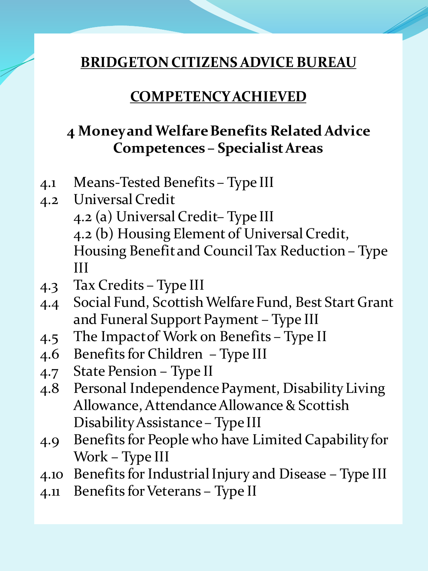### **COMPETENCY ACHIEVED**

# **4 Money and Welfare Benefits Related Advice Competences – Specialist Areas**

- 4.1 Means-Tested Benefits Type III
- 4.2 Universal Credit 4.2 (a) Universal Credit– Type III 4.2 (b) Housing Element of Universal Credit, Housing Benefit and Council Tax Reduction – Type III
- 4.3 Tax Credits Type III
- 4.4 Social Fund, Scottish Welfare Fund, Best Start Grant and Funeral Support Payment – Type III
- 4.5 The Impact of Work on Benefits Type II
- 4.6 Benefits for Children Type III
- 4.7 State Pension Type II
- 4.8 Personal Independence Payment, Disability Living Allowance, Attendance Allowance & Scottish Disability Assistance – Type III
- 4.9 Benefits for People who have Limited Capability for Work – Type III
- 4.10 Benefits for Industrial Injury and Disease Type III
- 4.11 Benefits for Veterans Type II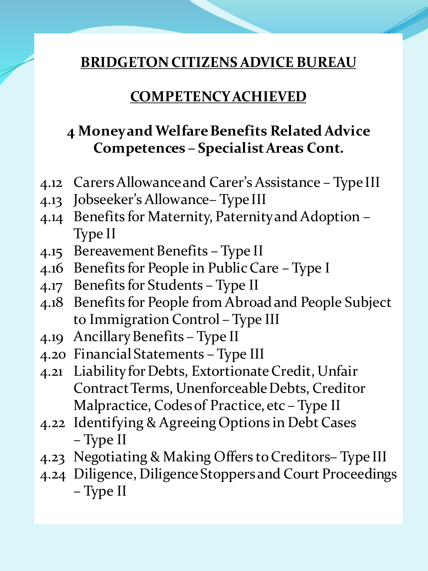#### **COMPETENCY ACHIEVED**

### **4 Money and Welfare Benefits Related Advice Competences – Specialist Areas Cont.**

- 4.12 Carers Allowance and Carer's Assistance Type III
- 4.13 Jobseeker's Allowance– Type III
- 4.14 Benefits for Maternity, Paternity and Adoption Type II
- 4.15 Bereavement Benefits Type II
- 4.16 Benefits for People in Public Care Type I
- 4.17 Benefits for Students Type II
- 4.18 Benefits for People from Abroad and People Subject to Immigration Control – Type III
- 4.19 Ancillary Benefits Type II
- 4.20 Financial Statements Type III
- 4.21 Liability for Debts, Extortionate Credit, Unfair Contract Terms, Unenforceable Debts, Creditor Malpractice, Codes of Practice, etc – Type II
- 4.22 Identifying & Agreeing Options in Debt Cases – Type II
- 4.23 Negotiating & Making Offers to Creditors– Type III
- 4.24 Diligence, Diligence Stoppers and Court Proceedings – Type II